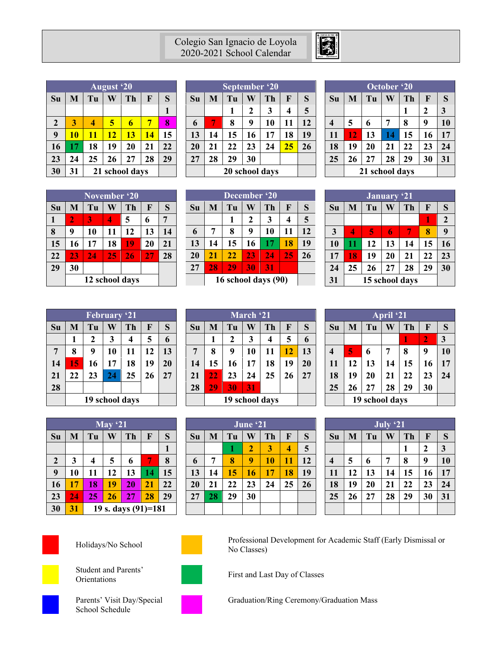## Colegio San Ignacio de Loyola 2020-2021 School Calendar



|                  | <b>August</b> '20    |    |    |    |    |    |  |  |  |
|------------------|----------------------|----|----|----|----|----|--|--|--|
| Su               | M                    | Tu | Ŵ  | Th | F  | S  |  |  |  |
|                  |                      |    |    |    |    | 1  |  |  |  |
| $\boldsymbol{2}$ | 3                    | 4  | 5  | 6  | 7  | 8  |  |  |  |
| 9                | 10                   | 11 | 12 | 13 | 14 | 15 |  |  |  |
| 16               | 17                   | 18 | 19 | 20 | 21 | 22 |  |  |  |
| 23               | 24                   | 25 | 26 | 27 | 28 | 29 |  |  |  |
| 30               | 31<br>21 school days |    |    |    |    |    |  |  |  |

|    | September '20 |                |              |    |    |    |  |  |  |
|----|---------------|----------------|--------------|----|----|----|--|--|--|
| Su | M             | Tu             | Ŵ            | Th | F  | S  |  |  |  |
|    |               | 1              | $\mathbf{2}$ | 3  | 4  | 5  |  |  |  |
| 6  |               | 8              | 9            | 10 | 11 | 12 |  |  |  |
| 13 | 14            | 15             | 16           | 17 | 18 | 19 |  |  |  |
| 20 | 21            | 22             | 23           | 24 | 25 | 26 |  |  |  |
| 27 | 28            | 29             | 30           |    |    |    |  |  |  |
|    |               | 20 school days |              |    |    |    |  |  |  |

| October '20             |    |                         |    |    |    |    |  |  |  |
|-------------------------|----|-------------------------|----|----|----|----|--|--|--|
| Su                      | M  | Tu<br>S<br>W<br>Th<br>F |    |    |    |    |  |  |  |
|                         |    |                         |    | 1  | 2  | 3  |  |  |  |
| $\overline{\mathbf{4}}$ | 5  | 6                       | 7  | 8  | 9  | 10 |  |  |  |
| 11                      | 12 | 13                      | 14 | 15 | 16 | 17 |  |  |  |
| 18                      | 19 | 20                      | 21 | 22 | 23 | 24 |  |  |  |
| 25                      | 26 | 27                      | 28 | 29 | 30 | 31 |  |  |  |
|                         |    | 21 school days          |    |    |    |    |  |  |  |

| November '20 |    |    |    |                |    |    |  |  |
|--------------|----|----|----|----------------|----|----|--|--|
| Su           | M  | Tu | W  | Th             | F  | S  |  |  |
| 1            | 2  | 3  | Λ  | 5              | 6  | 7  |  |  |
| 8            | 9  | 10 | 11 | 12             | 13 | 14 |  |  |
| 15           | 16 | 17 | 18 | 19             | 20 | 21 |  |  |
| 22           | 23 | 24 | 25 | 26             | 27 | 28 |  |  |
| 29           | 30 |    |    |                |    |    |  |  |
|              |    |    |    | 12 school days |    |    |  |  |

| December '20 |    |                     |    |    |    |    |  |  |
|--------------|----|---------------------|----|----|----|----|--|--|
| Su           | M  | Tu                  | W  | Th | F  | S  |  |  |
|              |    | 1                   | 2  | 3  | 4  | 5  |  |  |
| 6            | 7  | 8                   | 9  | 10 | 11 | 12 |  |  |
| 13           | 14 | 15                  | 16 | 17 | 18 | 19 |  |  |
| 20           | 21 | 22                  | 23 | 24 | 25 | 26 |  |  |
| 27           | 28 | 29                  | 30 | 31 |    |    |  |  |
|              |    | 16 school days (90) |    |    |    |    |  |  |

| <b>January</b> '21 |    |    |    |    |    |                |  |  |  |
|--------------------|----|----|----|----|----|----------------|--|--|--|
| Su                 | M  | Tu | W  | Th | F  | S              |  |  |  |
|                    |    |    |    |    | 1  | $\overline{2}$ |  |  |  |
| 3                  | D  | 5  | 6  | 7  | 8  | 9              |  |  |  |
| 10                 | 11 | 12 | 13 | 14 | 15 | 16             |  |  |  |
| 17                 | 18 | 19 | 20 | 21 | 22 | 23             |  |  |  |
| 24                 | 25 | 26 | 27 | 28 | 29 | 30             |  |  |  |
| 31                 |    |    |    |    |    |                |  |  |  |

| <b>February '21</b> |                |    |    |    |    |    |  |  |  |
|---------------------|----------------|----|----|----|----|----|--|--|--|
| Su                  | M              | Tu | W  | Th | F  | S  |  |  |  |
|                     | 1              | 2  | 3  | 4  | 5  | 6  |  |  |  |
| 7                   | 8              | 9  | 10 | 11 | 12 | 13 |  |  |  |
| 14                  | 15             | 16 | 17 | 18 | 19 | 20 |  |  |  |
| 21                  | 22             | 23 | 24 | 25 | 26 | 27 |  |  |  |
| 28                  |                |    |    |    |    |    |  |  |  |
|                     | 19 school days |    |    |    |    |    |  |  |  |

|    | March '21 |                |    |    |    |    |  |  |  |  |
|----|-----------|----------------|----|----|----|----|--|--|--|--|
| Su | M         | Tu             | W  | Th | F  | S  |  |  |  |  |
|    | 1         | $\mathbf 2$    | 3  | 4  | 5  | 6  |  |  |  |  |
| 7  | 8         | 9              | 10 | 11 | 12 | 13 |  |  |  |  |
| 14 | 15        | 16             | 17 | 18 | 19 | 20 |  |  |  |  |
| 21 | 22        | 23             | 24 | 25 | 26 | 27 |  |  |  |  |
| 28 | 29        | 30             | 31 |    |    |    |  |  |  |  |
|    |           | 19 school days |    |    |    |    |  |  |  |  |

| April '21               |    |                         |    |    |    |    |  |  |
|-------------------------|----|-------------------------|----|----|----|----|--|--|
| Su                      | M  | Ŵ<br>Tu<br>Th<br>S<br>F |    |    |    |    |  |  |
|                         |    | $\overline{2}$<br>1     |    |    |    |    |  |  |
| $\overline{\mathbf{4}}$ | 5  | 6                       | 7  | 8  | 9  | 10 |  |  |
| 11                      | 12 | 13                      | 14 | 15 | 16 | 17 |  |  |
| 18                      | 19 | 20                      | 21 | 22 | 23 | 24 |  |  |
| 25                      | 26 | 27                      | 28 | 29 | 30 |    |  |  |
|                         |    | 19 school days          |    |    |    |    |  |  |

|                  | May $21$ |                     |    |    |    |    |  |  |  |
|------------------|----------|---------------------|----|----|----|----|--|--|--|
| Su               | M        | Tu                  | W  | Th | F  | S  |  |  |  |
|                  |          |                     |    |    |    | 1  |  |  |  |
| $\boldsymbol{2}$ | 3        | 4                   | 5  | 6  | n  | 8  |  |  |  |
| 9                | 10       | 11                  | 12 | 13 | 14 | 15 |  |  |  |
| 16               | 17       | 18                  | 19 | 20 | 21 | 22 |  |  |  |
| 23               | 24       | 25                  | 26 | 27 | 28 | 29 |  |  |  |
| 30               | 31       | 19 s. days (91)=181 |    |    |    |    |  |  |  |

|    | June '21 |    |                |    |    |    |  |  |
|----|----------|----|----------------|----|----|----|--|--|
| Su | M        | Tu | Ŵ              | Th | F  | S  |  |  |
|    |          | 1  | $\overline{2}$ | 3  |    | 5  |  |  |
| 6  | 7        | 8  | 9              | 10 | 11 | 12 |  |  |
| 13 | 14       | 15 | 16             | 17 | 18 | 19 |  |  |
| 20 | 21       | 22 | 23             | 24 | 25 | 26 |  |  |
| 27 | 28       | 29 | 30             |    |    |    |  |  |
|    |          |    |                |    |    |    |  |  |

| July '21 |    |                         |    |    |    |    |  |  |
|----------|----|-------------------------|----|----|----|----|--|--|
| Su       | M  | W<br>Th<br>S<br>Tu<br>F |    |    |    |    |  |  |
|          |    |                         |    | 1  | 2  | 3  |  |  |
| 4        | 5  | 6                       | 7  | 8  | 9  | 10 |  |  |
| 11       | 12 | 13                      | 14 | 15 | 16 | 17 |  |  |
| 18       | 19 | 20                      | 21 | 22 | 23 | 24 |  |  |
| 25       | 26 | 27                      | 28 | 29 | 30 | 31 |  |  |
|          |    |                         |    |    |    |    |  |  |





Student and Parents'



Holidays/No School Professional Development for Academic Staff (Early Dismissal or No Classes)

Student and 1 aren's<br>
First and Last Day of Classes<br>
First and Last Day of Classes



Parents' Visit Day/Special School Schedule



Graduation/Ring Ceremony/Graduation Mass